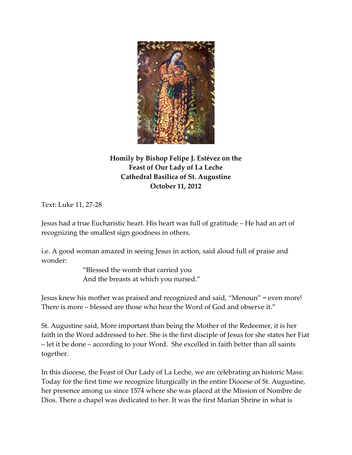

## **Homily by Bishop Felipe J. Estévez on the Feast of Our Lady of La Leche Cathedral Basilica of St. Augustine October 11, 2012**

Text: Luke 11, 27‐28

Jesus had a true Eucharistic heart. His heart was full of gratitude – He had an art of recognizing the smallest sign goodness in others.

i.e. A good woman amazed in seeing Jesus in action, said aloud full of praise and wonder:

> "Blessed the womb that carried you And the breasts at which you nursed."

Jesus knew his mother was praised and recognized and said, "Menoun" = even more! There is more – blessed are those who hear the Word of God and observe it."

St. Augustine said, More important than being the Mother of the Redeemer, it is her faith in the Word addressed to her. She is the first disciple of Jesus for she states her Fiat – let it be done – according to your Word. She excelled in faith better than all saints together.

In this diocese, the Feast of Our Lady of La Leche, we are celebrating an historic Mass: Today for the first time we recognize liturgically in the entire Diocese of St. Augustine, her presence among us since 1574 where she was placed at the Mission of Nombre de Dios. There a chapel was dedicated to her. It was the first Marian Shrine in what is